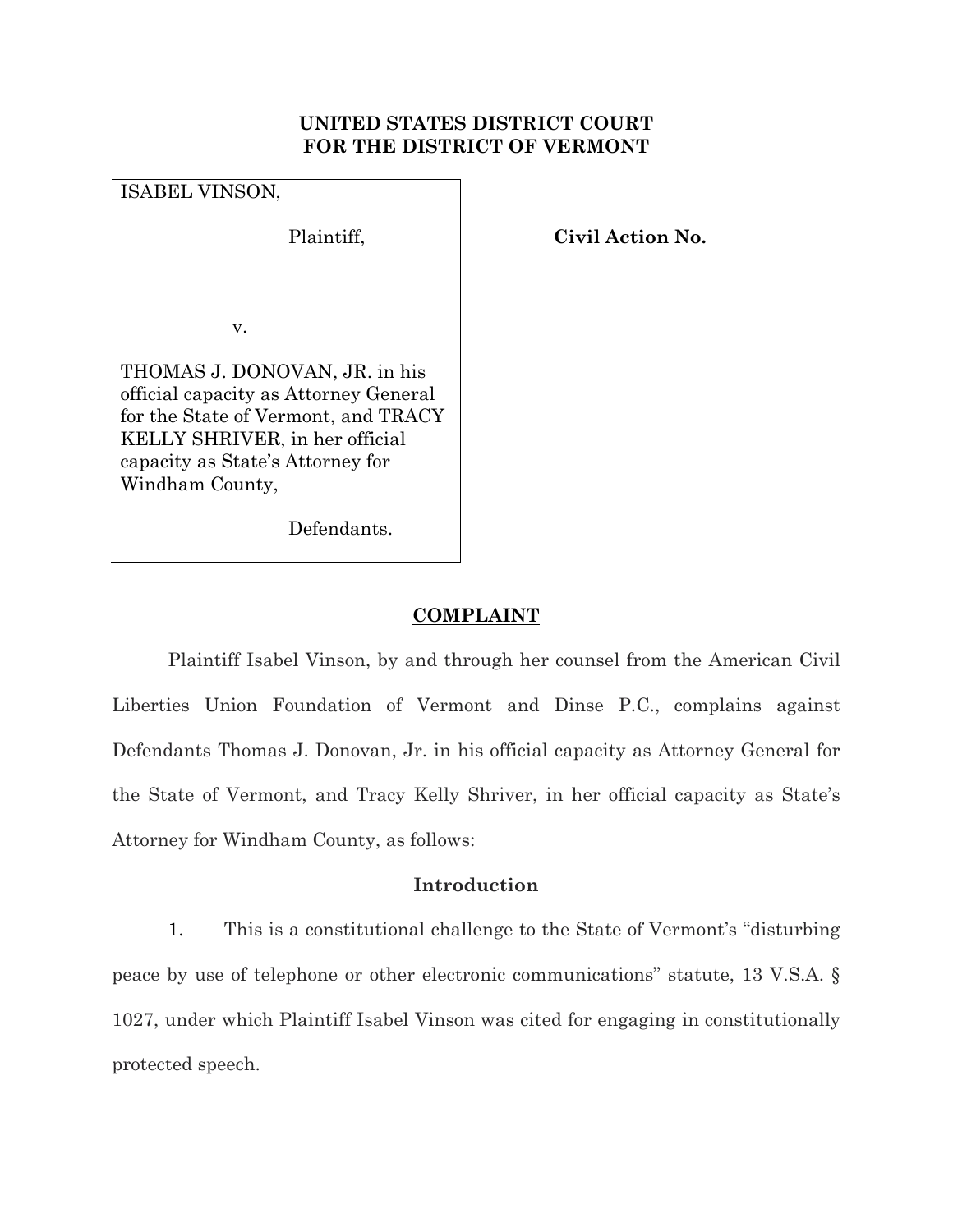## **UNITED STATES DISTRICT COURT FOR THE DISTRICT OF VERMONT**

ISABEL VINSON,

Plaintiff, **Civil Action No.** 

v.

THOMAS J. DONOVAN, JR. in his official capacity as Attorney General for the State of Vermont, and TRACY KELLY SHRIVER, in her official capacity as State's Attorney for Windham County,

Defendants.

# **COMPLAINT**

Plaintiff Isabel Vinson, by and through her counsel from the American Civil Liberties Union Foundation of Vermont and Dinse P.C., complains against Defendants Thomas J. Donovan, Jr. in his official capacity as Attorney General for the State of Vermont, and Tracy Kelly Shriver, in her official capacity as State's Attorney for Windham County, as follows:

# **Introduction**

1. This is a constitutional challenge to the State of Vermont's "disturbing peace by use of telephone or other electronic communications" statute, 13 V.S.A. § 1027, under which Plaintiff Isabel Vinson was cited for engaging in constitutionally protected speech.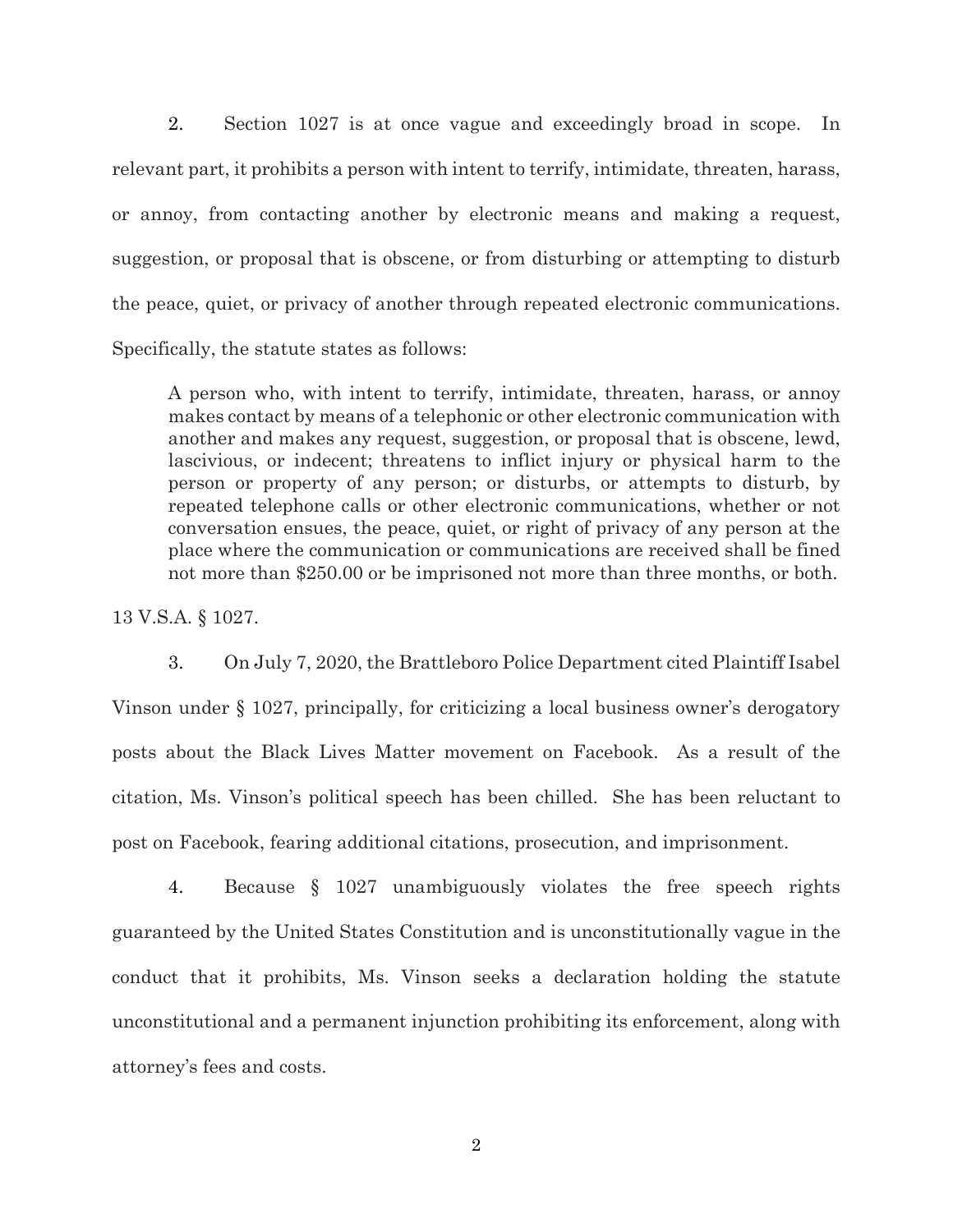2. Section 1027 is at once vague and exceedingly broad in scope. In relevant part, it prohibits a person with intent to terrify, intimidate, threaten, harass, or annoy, from contacting another by electronic means and making a request, suggestion, or proposal that is obscene, or from disturbing or attempting to disturb the peace, quiet, or privacy of another through repeated electronic communications. Specifically, the statute states as follows:

A person who, with intent to terrify, intimidate, threaten, harass, or annoy makes contact by means of a telephonic or other electronic communication with another and makes any request, suggestion, or proposal that is obscene, lewd, lascivious, or indecent; threatens to inflict injury or physical harm to the person or property of any person; or disturbs, or attempts to disturb, by repeated telephone calls or other electronic communications, whether or not conversation ensues, the peace, quiet, or right of privacy of any person at the place where the communication or communications are received shall be fined not more than \$250.00 or be imprisoned not more than three months, or both.

13 V.S.A. § 1027.

3. On July 7, 2020, the Brattleboro Police Department cited Plaintiff Isabel Vinson under § 1027, principally, for criticizing a local business owner's derogatory posts about the Black Lives Matter movement on Facebook. As a result of the citation, Ms. Vinson's political speech has been chilled. She has been reluctant to post on Facebook, fearing additional citations, prosecution, and imprisonment.

4. Because § 1027 unambiguously violates the free speech rights guaranteed by the United States Constitution and is unconstitutionally vague in the conduct that it prohibits, Ms. Vinson seeks a declaration holding the statute unconstitutional and a permanent injunction prohibiting its enforcement, along with attorney's fees and costs.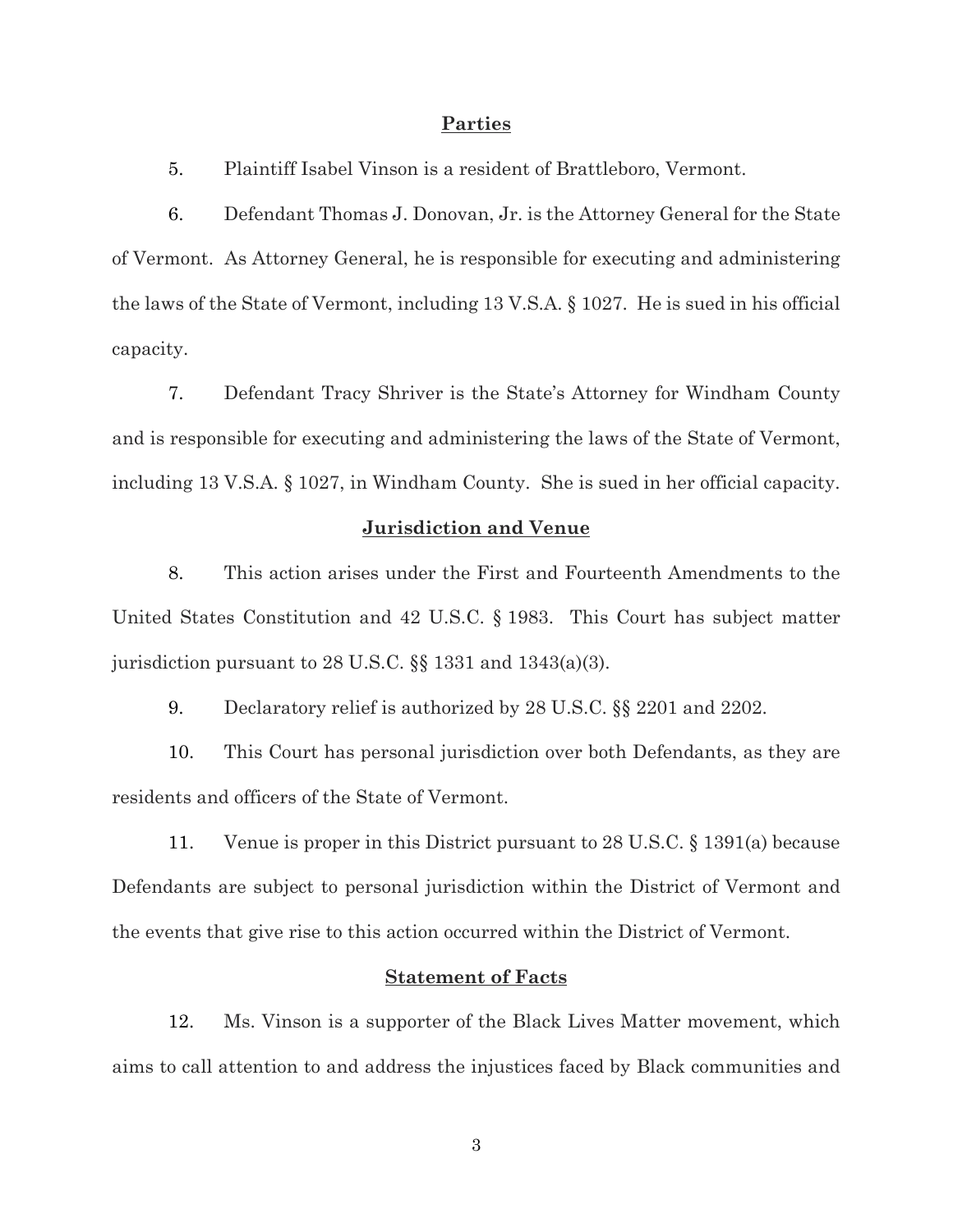#### **Parties**

5. Plaintiff Isabel Vinson is a resident of Brattleboro, Vermont.

6. Defendant Thomas J. Donovan, Jr. is the Attorney General for the State of Vermont. As Attorney General, he is responsible for executing and administering the laws of the State of Vermont, including 13 V.S.A. § 1027. He is sued in his official capacity.

7. Defendant Tracy Shriver is the State's Attorney for Windham County and is responsible for executing and administering the laws of the State of Vermont, including 13 V.S.A. § 1027, in Windham County. She is sued in her official capacity.

#### **Jurisdiction and Venue**

8. This action arises under the First and Fourteenth Amendments to the United States Constitution and 42 U.S.C. § 1983. This Court has subject matter jurisdiction pursuant to 28 U.S.C. §§ 1331 and 1343(a)(3).

9. Declaratory relief is authorized by 28 U.S.C. §§ 2201 and 2202.

10. This Court has personal jurisdiction over both Defendants, as they are residents and officers of the State of Vermont.

11. Venue is proper in this District pursuant to 28 U.S.C. § 1391(a) because Defendants are subject to personal jurisdiction within the District of Vermont and the events that give rise to this action occurred within the District of Vermont.

## **Statement of Facts**

12. Ms. Vinson is a supporter of the Black Lives Matter movement, which aims to call attention to and address the injustices faced by Black communities and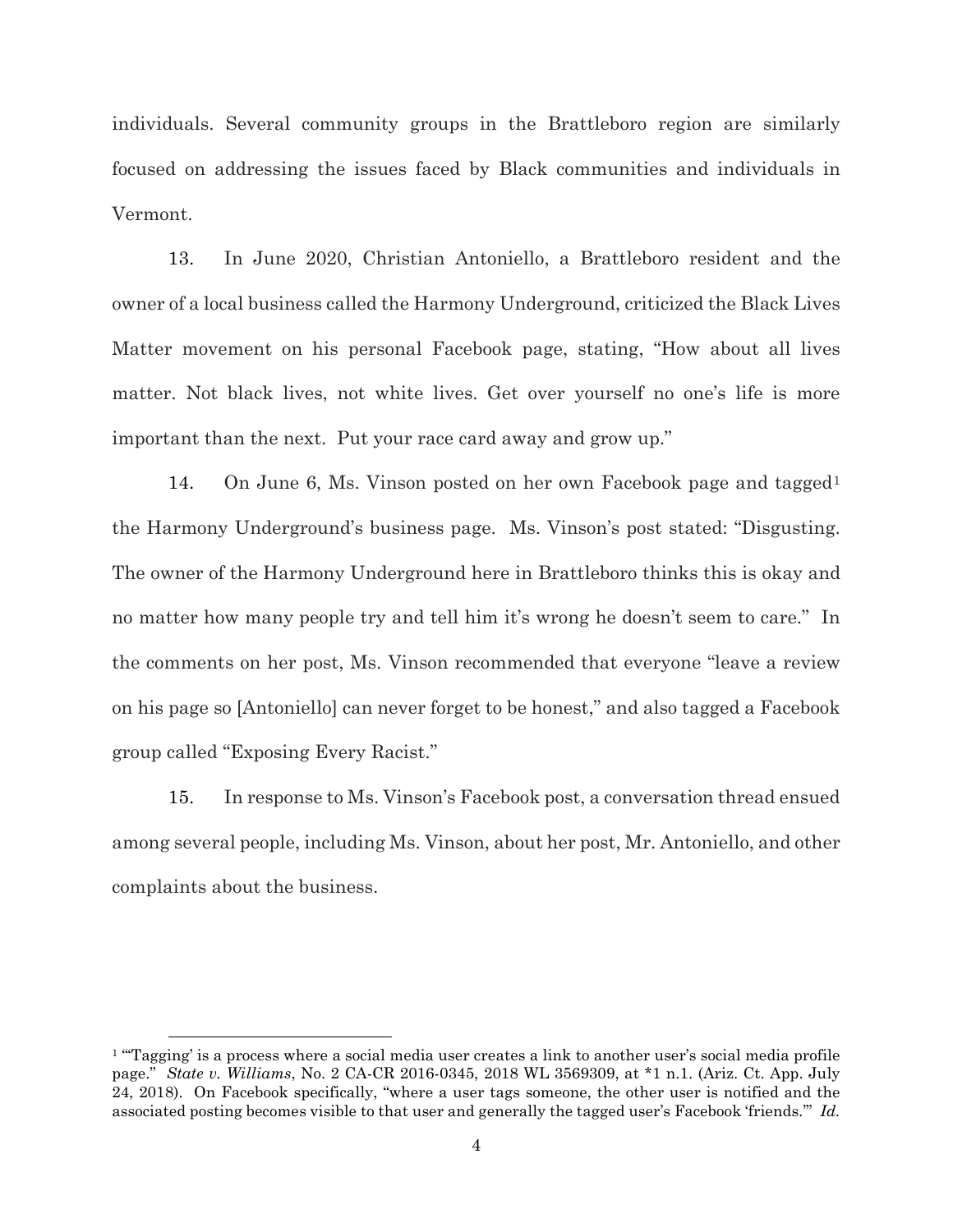individuals. Several community groups in the Brattleboro region are similarly focused on addressing the issues faced by Black communities and individuals in Vermont.

13. In June 2020, Christian Antoniello, a Brattleboro resident and the owner of a local business called the Harmony Underground, criticized the Black Lives Matter movement on his personal Facebook page, stating, "How about all lives matter. Not black lives, not white lives. Get over yourself no one's life is more important than the next. Put your race card away and grow up."

[1](#page-3-0)4. On June 6, Ms. Vinson posted on her own Facebook page and tagged<sup>1</sup> the Harmony Underground's business page. Ms. Vinson's post stated: "Disgusting. The owner of the Harmony Underground here in Brattleboro thinks this is okay and no matter how many people try and tell him it's wrong he doesn't seem to care." In the comments on her post, Ms. Vinson recommended that everyone "leave a review on his page so [Antoniello] can never forget to be honest," and also tagged a Facebook group called "Exposing Every Racist."

15. In response to Ms. Vinson's Facebook post, a conversation thread ensued among several people, including Ms. Vinson, about her post, Mr. Antoniello, and other complaints about the business.

<span id="page-3-0"></span><sup>&</sup>lt;sup>1</sup> "Tagging' is a process where a social media user creates a link to another user's social media profile page." *State v. Williams*, No. 2 CA-CR 2016-0345, 2018 WL 3569309, at \*1 n.1. (Ariz. Ct. App. July 24, 2018). On Facebook specifically, "where a user tags someone, the other user is notified and the associated posting becomes visible to that user and generally the tagged user's Facebook 'friends.'" *Id.*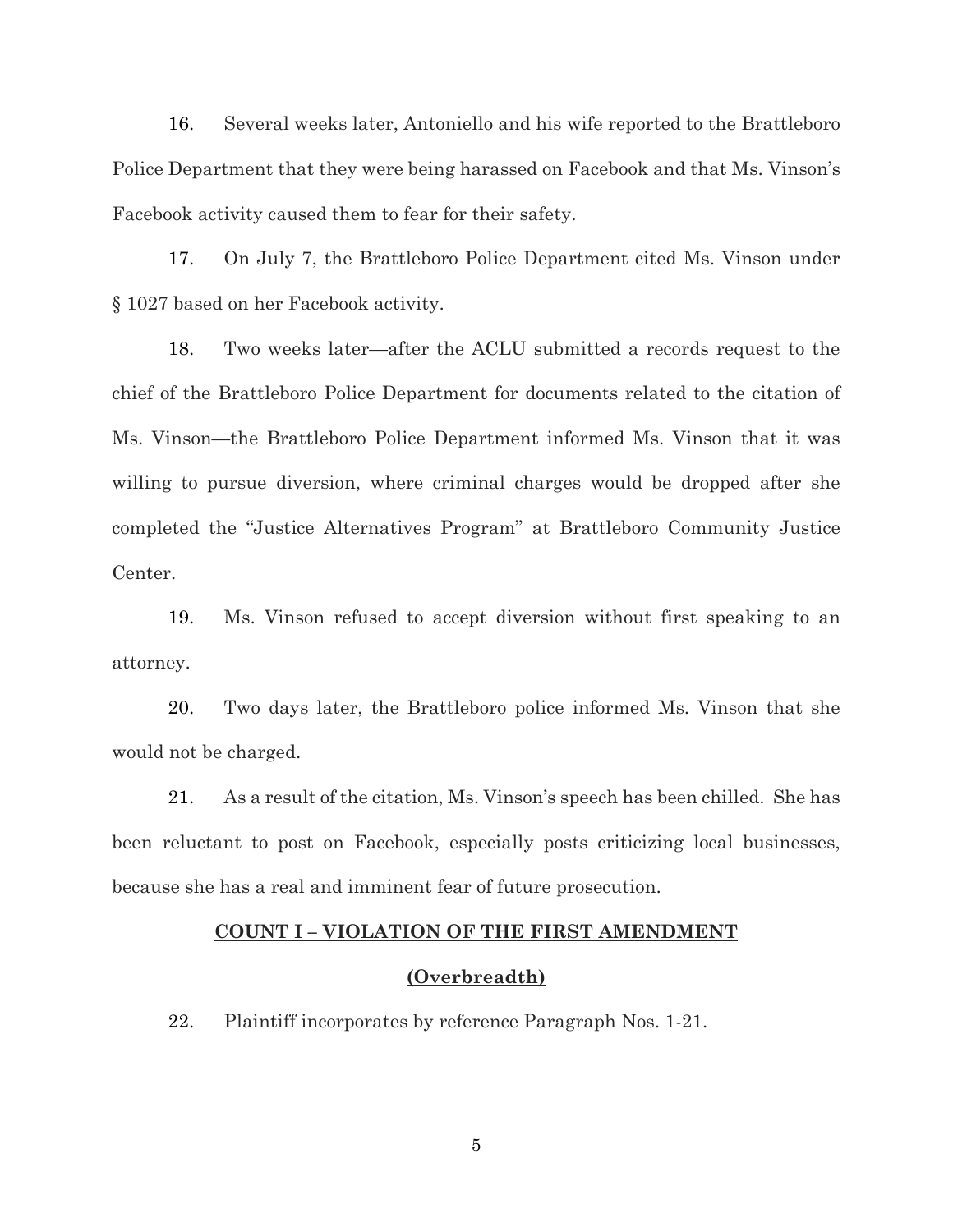16. Several weeks later, Antoniello and his wife reported to the Brattleboro Police Department that they were being harassed on Facebook and that Ms. Vinson's Facebook activity caused them to fear for their safety.

17. On July 7, the Brattleboro Police Department cited Ms. Vinson under § 1027 based on her Facebook activity.

18. Two weeks later—after the ACLU submitted a records request to the chief of the Brattleboro Police Department for documents related to the citation of Ms. Vinson—the Brattleboro Police Department informed Ms. Vinson that it was willing to pursue diversion, where criminal charges would be dropped after she completed the "Justice Alternatives Program" at Brattleboro Community Justice Center.

19. Ms. Vinson refused to accept diversion without first speaking to an attorney.

20. Two days later, the Brattleboro police informed Ms. Vinson that she would not be charged.

21. As a result of the citation, Ms. Vinson's speech has been chilled. She has been reluctant to post on Facebook, especially posts criticizing local businesses, because she has a real and imminent fear of future prosecution.

## **COUNT I – VIOLATION OF THE FIRST AMENDMENT**

#### **(Overbreadth)**

22. Plaintiff incorporates by reference Paragraph Nos. 1-21.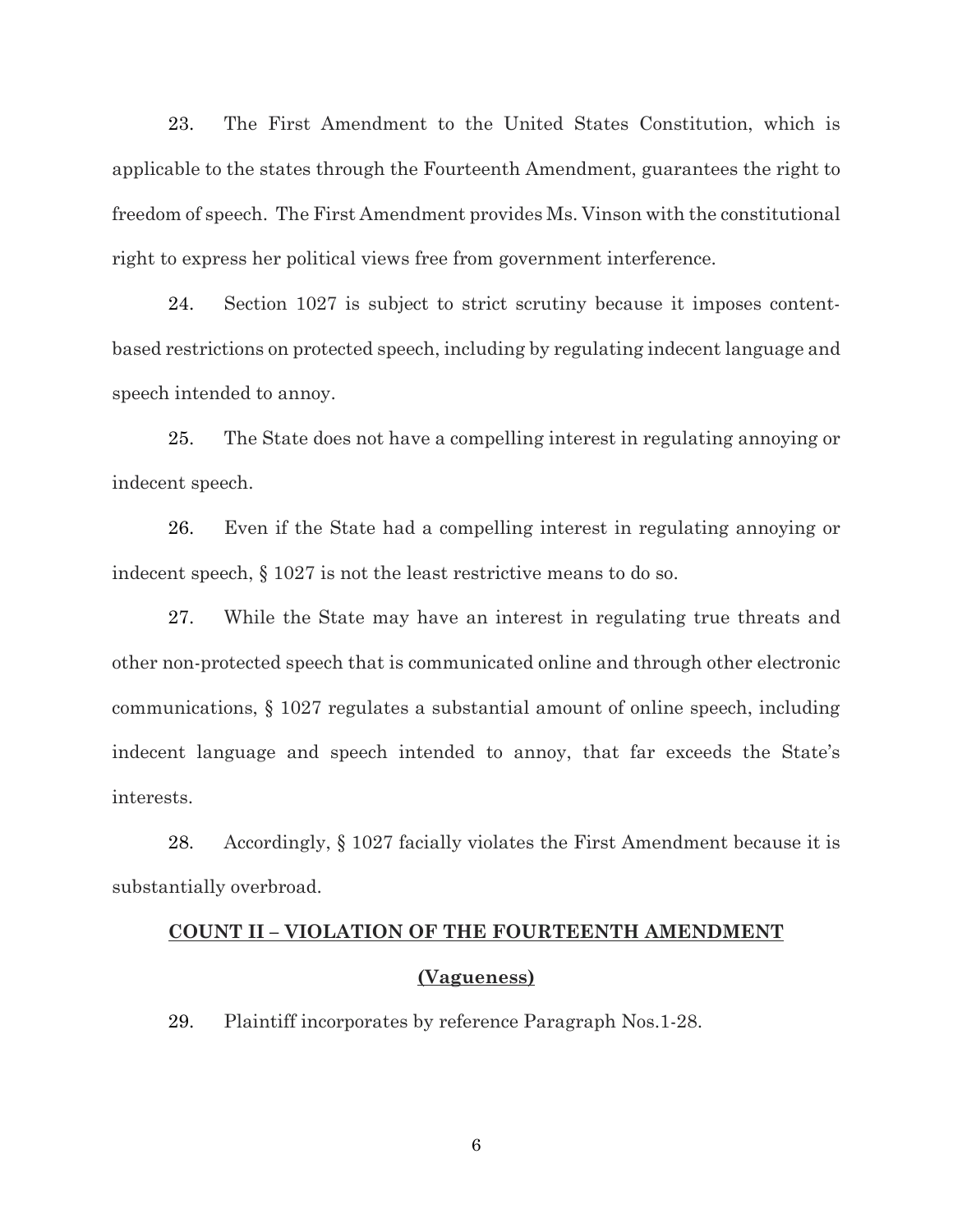23. The First Amendment to the United States Constitution, which is applicable to the states through the Fourteenth Amendment, guarantees the right to freedom of speech. The First Amendment provides Ms. Vinson with the constitutional right to express her political views free from government interference.

24. Section 1027 is subject to strict scrutiny because it imposes contentbased restrictions on protected speech, including by regulating indecent language and speech intended to annoy.

25. The State does not have a compelling interest in regulating annoying or indecent speech.

26. Even if the State had a compelling interest in regulating annoying or indecent speech, § 1027 is not the least restrictive means to do so.

27. While the State may have an interest in regulating true threats and other non-protected speech that is communicated online and through other electronic communications, § 1027 regulates a substantial amount of online speech, including indecent language and speech intended to annoy, that far exceeds the State's interests.

28. Accordingly, § 1027 facially violates the First Amendment because it is substantially overbroad.

# **COUNT II – VIOLATION OF THE FOURTEENTH AMENDMENT**

## **(Vagueness)**

29. Plaintiff incorporates by reference Paragraph Nos.1-28.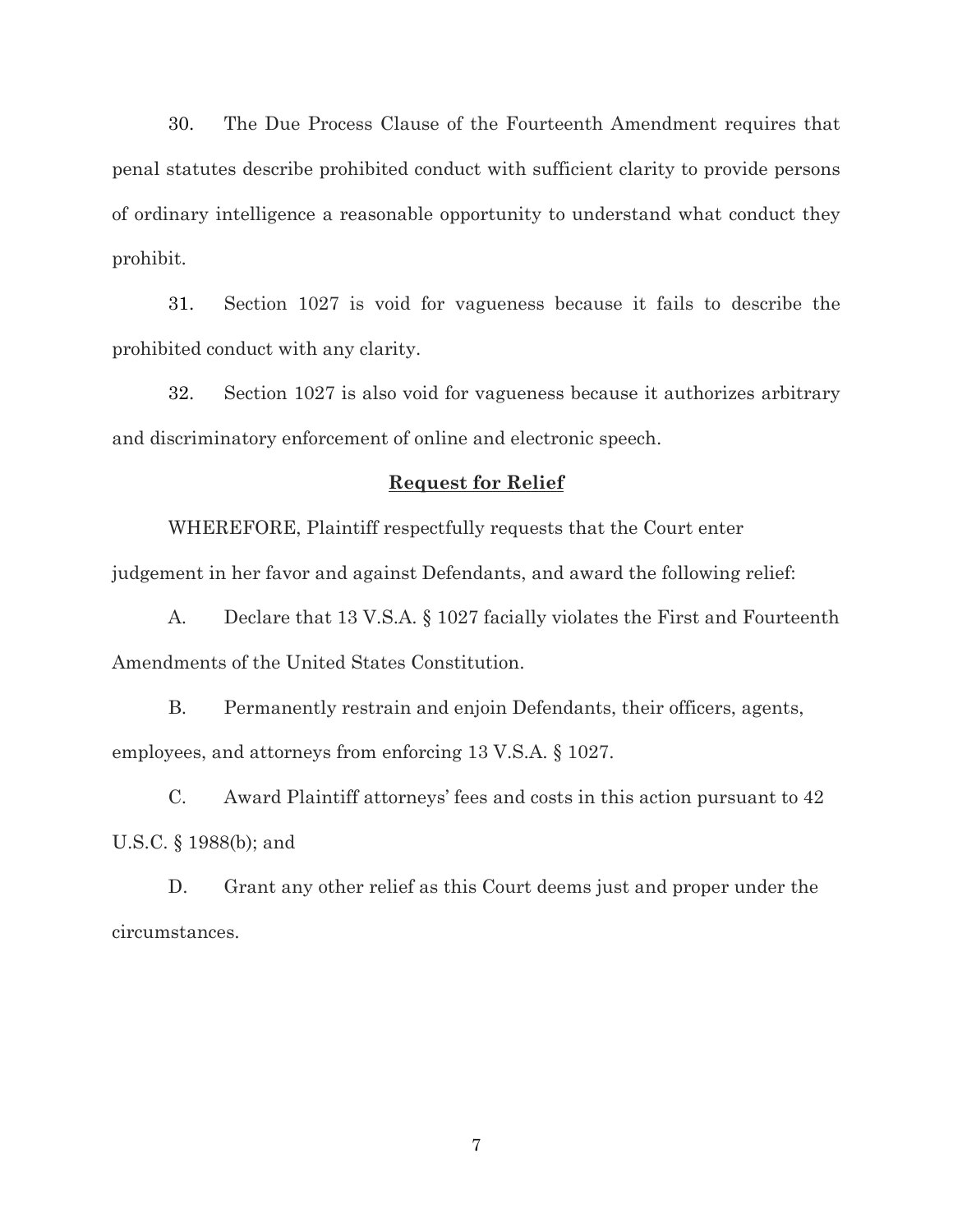30. The Due Process Clause of the Fourteenth Amendment requires that penal statutes describe prohibited conduct with sufficient clarity to provide persons of ordinary intelligence a reasonable opportunity to understand what conduct they prohibit.

31. Section 1027 is void for vagueness because it fails to describe the prohibited conduct with any clarity.

32. Section 1027 is also void for vagueness because it authorizes arbitrary and discriminatory enforcement of online and electronic speech.

#### **Request for Relief**

WHEREFORE, Plaintiff respectfully requests that the Court enter judgement in her favor and against Defendants, and award the following relief:

A. Declare that 13 V.S.A. § 1027 facially violates the First and Fourteenth Amendments of the United States Constitution.

B. Permanently restrain and enjoin Defendants, their officers, agents, employees, and attorneys from enforcing 13 V.S.A. § 1027.

C. Award Plaintiff attorneys' fees and costs in this action pursuant to 42 U.S.C. § 1988(b); and

D. Grant any other relief as this Court deems just and proper under the circumstances.